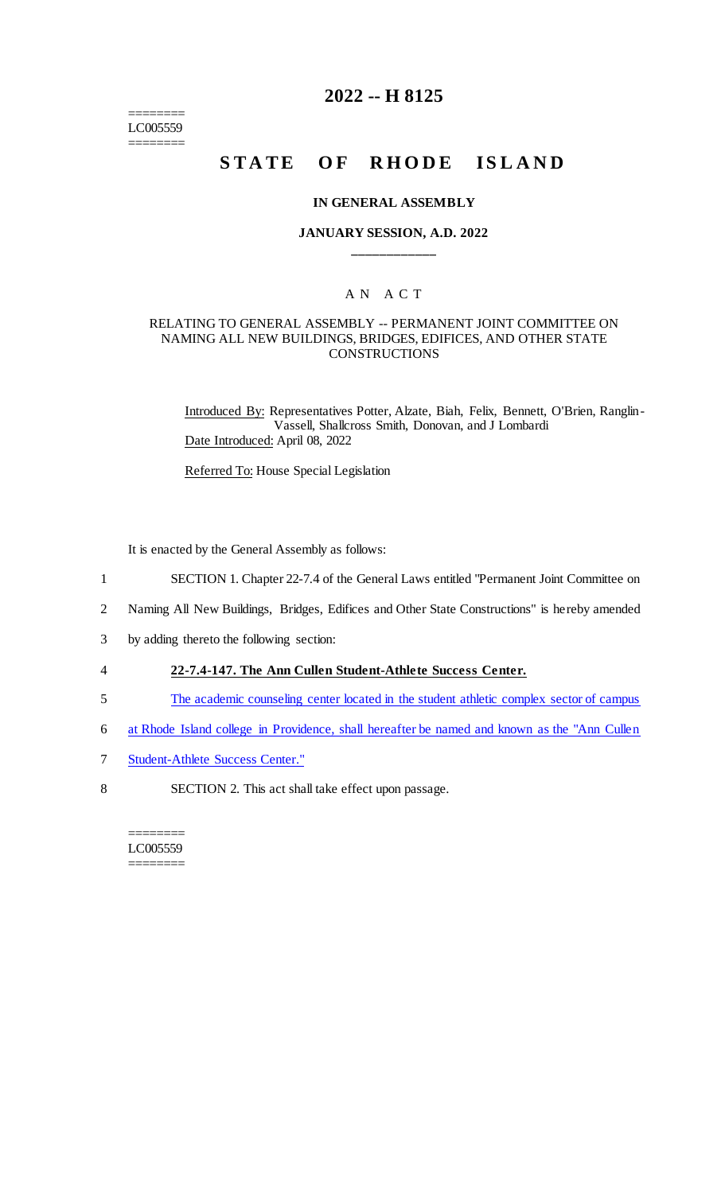======== LC005559 ========

# **2022 -- H 8125**

# **STATE OF RHODE ISLAND**

#### **IN GENERAL ASSEMBLY**

#### **JANUARY SESSION, A.D. 2022 \_\_\_\_\_\_\_\_\_\_\_\_**

## A N A C T

#### RELATING TO GENERAL ASSEMBLY -- PERMANENT JOINT COMMITTEE ON NAMING ALL NEW BUILDINGS, BRIDGES, EDIFICES, AND OTHER STATE **CONSTRUCTIONS**

Introduced By: Representatives Potter, Alzate, Biah, Felix, Bennett, O'Brien, Ranglin-Vassell, Shallcross Smith, Donovan, and J Lombardi Date Introduced: April 08, 2022

Referred To: House Special Legislation

It is enacted by the General Assembly as follows:

- 1 SECTION 1. Chapter 22-7.4 of the General Laws entitled "Permanent Joint Committee on
- 2 Naming All New Buildings, Bridges, Edifices and Other State Constructions" is hereby amended
- 3 by adding thereto the following section:
- 4 **22-7.4-147. The Ann Cullen Student-Athlete Success Center.**
- 5 The academic counseling center located in the student athletic complex sector of campus
- 6 at Rhode Island college in Providence, shall hereafter be named and known as the "Ann Cullen
- 7 Student-Athlete Success Center."
- 8 SECTION 2. This act shall take effect upon passage.

======== LC005559 ========